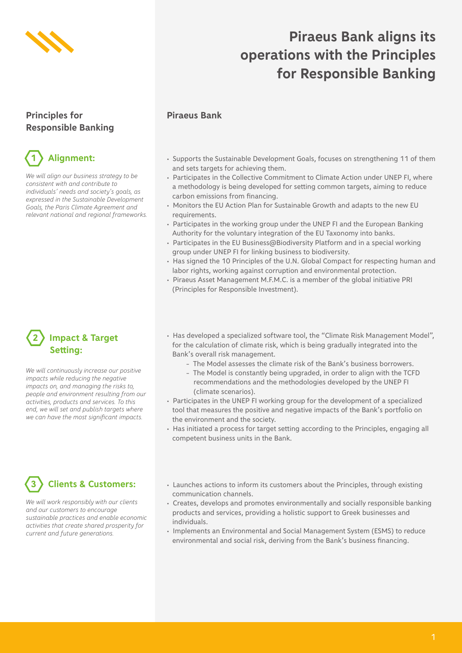

### **Piraeus Bank aligns its operations with the Principles for Responsible Banking**

#### **Piraeus Bank**

#### **Principles for Responsible Banking**

## **1 Alignment:**

*We will align our business strategy to be consistent with and contribute to individuals' needs and society's goals, as expressed in the Sustainable Development Goals, the Paris Climate Agreement and relevant national and regional frameworks.*

### **Impact & Target Setting:**

*We will continuously increase our positive impacts while reducing the negative impacts on, and managing the risks to, people and environment resulting from our activities, products and services. To this end, we will set and publish targets where we can have the most significant impacts.* 

### **3 Clients & Customers:**

*We will work responsibly with our clients and our customers to encourage sustainable practices and enable economic activities that create shared prosperity for current and future generations.*

- Supports the Sustainable Development Goals, focuses on strengthening 11 of them and sets targets for achieving them.
- Participates in the Collective Commitment to Climate Action under UNEP FI, where a methodology is being developed for setting common targets, aiming to reduce carbon emissions from financing.
- Monitors the EU Action Plan for Sustainable Growth and adapts to the new EU requirements.
- Participates in the working group under the UNEP FI and the European Banking Authority for the voluntary integration of the EU Taxonomy into banks.
- Participates in the EU Business@Biodiversity Platform and in a special working group under UNEP FI for linking business to biodiversity.
- Has signed the 10 Principles of the U.N. Global Compact for respecting human and labor rights, working against corruption and environmental protection.
- Piraeus Asset Management M.F.M.C. is a member of the global initiative PRI (Principles for Responsible Investment).
- Has developed a specialized software tool, the "Climate Risk Management Model", for the calculation of climate risk, which is being gradually integrated into the Bank's overall risk management.
	- The Model assesses the climate risk of the Bank's business borrowers.
	- The Model is constantly being upgraded, in order to align with the TCFD recommendations and the methodologies developed by the UNEP FI (climate scenarios).
- Participates in the UNEP FI working group for the development of a specialized tool that measures the positive and negative impacts of the Bank's portfolio on the environment and the society.
- Has initiated a process for target setting according to the Principles, engaging all competent business units in the Bank.
- Launches actions to inform its customers about the Principles, through existing communication channels.
- Creates, develops and promotes environmentally and socially responsible banking products and services, providing a holistic support to Greek businesses and individuals.
- Implements an Environmental and Social Management System (ESMS) to reduce environmental and social risk, deriving from the Bank's business financing.